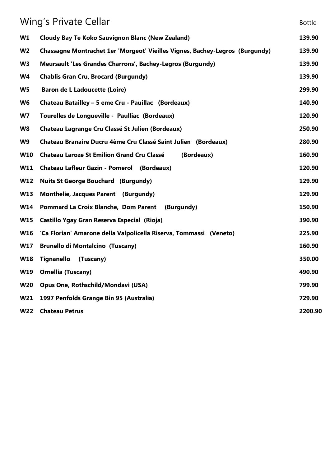| Wing's Private Cellar |                                                                              | <b>Bottle</b> |
|-----------------------|------------------------------------------------------------------------------|---------------|
| W1                    | <b>Cloudy Bay Te Koko Sauvignon Blanc (New Zealand)</b>                      | 139.90        |
| W <sub>2</sub>        | Chassagne Montrachet 1er 'Morgeot' Vieilles Vignes, Bachey-Legros (Burgundy) | 139.90        |
| W <sub>3</sub>        | Meursault 'Les Grandes Charrons', Bachey-Legros (Burgundy)                   | 139.90        |
| <b>W4</b>             | <b>Chablis Gran Cru, Brocard (Burgundy)</b>                                  | 139.90        |
| W <sub>5</sub>        | <b>Baron de L Ladoucette (Loire)</b>                                         | 299.90        |
| W <sub>6</sub>        | Chateau Batailley - 5 eme Cru - Pauillac (Bordeaux)                          | 140.90        |
| W7                    | Tourelles de Longueville - Paulliac (Bordeaux)                               | 120.90        |
| W <sub>8</sub>        | <b>Chateau Lagrange Cru Classé St Julien (Bordeaux)</b>                      | 250.90        |
| W9                    | Chateau Branaire Ducru 4ème Cru Classé Saint Julien (Bordeaux)               | 280.90        |
| <b>W10</b>            | <b>Chateau Laroze St Emilion Grand Cru Classé</b><br>(Bordeaux)              | 160.90        |
| W11                   | <b>Chateau Lafleur Gazin - Pomerol (Bordeaux)</b>                            | 120.90        |
| <b>W12</b>            | <b>Nuits St George Bouchard (Burgundy)</b>                                   | 129.90        |
| <b>W13</b>            | <b>Monthelie, Jacques Parent (Burgundy)</b>                                  | 129.90        |
| <b>W14</b>            | <b>Pommard La Croix Blanche, Dom Parent</b><br>(Burgundy)                    | 150.90        |
| <b>W15</b>            | Castillo Ygay Gran Reserva Especial (Rioja)                                  | 390.90        |
| <b>W16</b>            | 'Ca Florian' Amarone della Valpolicella Riserva, Tommassi (Veneto)           | 225.90        |
| <b>W17</b>            | <b>Brunello di Montalcino (Tuscany)</b>                                      | 160.90        |
| <b>W18</b>            | <b>Tignanello</b><br>(Tuscany)                                               | 350.00        |
| W19                   | <b>Ornellia (Tuscany)</b>                                                    | 490.90        |
| <b>W20</b>            | Opus One, Rothschild/Mondavi (USA)                                           | 799.90        |
| W21                   | 1997 Penfolds Grange Bin 95 (Australia)                                      | 729.90        |
| <b>W22</b>            | <b>Chateau Petrus</b>                                                        | 2200.90       |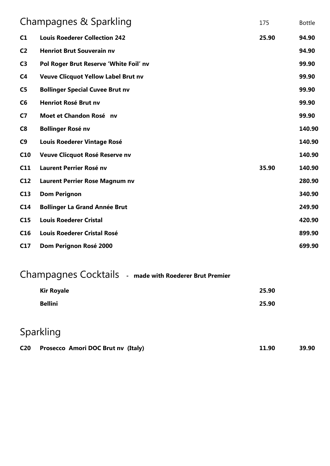| Champagnes & Sparkling |                                            | 175   | <b>Bottle</b> |
|------------------------|--------------------------------------------|-------|---------------|
| C1                     | <b>Louis Roederer Collection 242</b>       | 25.90 | 94.90         |
| C <sub>2</sub>         | <b>Henriot Brut Souverain nv</b>           |       | 94.90         |
| C <sub>3</sub>         | Pol Roger Brut Reserve 'White Foil' nv     |       | 99.90         |
| C <sub>4</sub>         | <b>Veuve Clicquot Yellow Label Brut nv</b> |       | 99.90         |
| C <sub>5</sub>         | <b>Bollinger Special Cuvee Brut nv</b>     |       | 99.90         |
| C6                     | <b>Henriot Rosé Brut nv</b>                |       | 99.90         |
| C <sub>7</sub>         | Moet et Chandon Rosé nv                    |       | 99.90         |
| C8                     | <b>Bollinger Rosé nv</b>                   |       | 140.90        |
| C <sub>9</sub>         | <b>Louis Roederer Vintage Rosé</b>         |       | 140.90        |
| C10                    | Veuve Clicquot Rosé Reserve nv             |       | 140.90        |
| C11                    | <b>Laurent Perrier Rosé nv</b>             | 35.90 | 140.90        |
| C12                    | Laurent Perrier Rose Magnum nv             |       | 280.90        |
| C13                    | <b>Dom Perignon</b>                        |       | 340.90        |
| C <sub>14</sub>        | <b>Bollinger La Grand Année Brut</b>       |       | 249.90        |
| C15                    | <b>Louis Roederer Cristal</b>              |       | 420.90        |
| C16                    | <b>Louis Roederer Cristal Rosé</b>         |       | 899.90        |
| C17                    | Dom Perignon Rosé 2000                     |       | 699.90        |
|                        |                                            |       |               |

|                   | Champagnes Cocktails - made with Roederer Brut Premier |       |  |
|-------------------|--------------------------------------------------------|-------|--|
| <b>Kir Royale</b> |                                                        | 25.90 |  |
| <b>Bellini</b>    |                                                        | 25.90 |  |
|                   |                                                        |       |  |

# Sparkling

| C <sub>20</sub> | Prosecco Amori DOC Brut nv (Italy) | 11.90 | 39.90 |
|-----------------|------------------------------------|-------|-------|
|                 |                                    |       |       |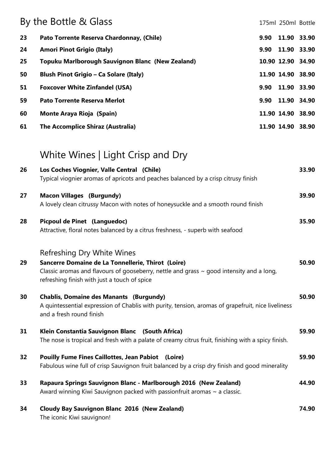|    | By the Bottle & Glass                                   |      | 175ml 250ml Bottle |  |
|----|---------------------------------------------------------|------|--------------------|--|
| 23 | Pato Torrente Reserva Chardonnay, (Chile)               | 9.90 | 11.90 33.90        |  |
| 24 | <b>Amori Pinot Grigio (Italy)</b>                       | 9.90 | 11.90 33.90        |  |
| 25 | <b>Topuku Marlborough Sauvignon Blanc (New Zealand)</b> |      | 10.90 12.90 34.90  |  |
| 50 | <b>Blush Pinot Grigio - Ca Solare (Italy)</b>           |      | 11.90 14.90 38.90  |  |
| 51 | <b>Foxcover White Zinfandel (USA)</b>                   | 9.90 | 11.90 33.90        |  |
| 59 | <b>Pato Torrente Reserva Merlot</b>                     | 9.90 | 11.90 34.90        |  |
| 60 | <b>Monte Araya Rioja (Spain)</b>                        |      | 11.90 14.90 38.90  |  |
| 61 | <b>The Accomplice Shiraz (Australia)</b>                |      | 11.90 14.90 38.90  |  |
|    |                                                         |      |                    |  |

## White Wines | Light Crisp and Dry

| 26 | Los Coches Viognier, Valle Central (Chile)                                                                                     | 33.90 |
|----|--------------------------------------------------------------------------------------------------------------------------------|-------|
|    | Typical viognier aromas of apricots and peaches balanced by a crisp citrusy finish                                             |       |
| 27 | <b>Macon Villages (Burgundy)</b>                                                                                               | 39.90 |
|    | A lovely clean citrussy Macon with notes of honeysuckle and a smooth round finish                                              |       |
| 28 | Picpoul de Pinet (Languedoc)                                                                                                   | 35.90 |
|    | Attractive, floral notes balanced by a citrus freshness, - superb with seafood                                                 |       |
|    | Refreshing Dry White Wines                                                                                                     |       |
| 29 | Sancerre Domaine de La Tonnellerie, Thirot (Loire)                                                                             | 50.90 |
|    | Classic aromas and flavours of gooseberry, nettle and grass $\sim$ good intensity and a long,                                  |       |
|    | refreshing finish with just a touch of spice                                                                                   |       |
| 30 | <b>Chablis, Domaine des Manants (Burgundy)</b>                                                                                 | 50.90 |
|    | A quintessential expression of Chablis with purity, tension, aromas of grapefruit, nice liveliness<br>and a fresh round finish |       |
| 31 | Klein Constantia Sauvignon Blanc (South Africa)                                                                                | 59.90 |
|    | The nose is tropical and fresh with a palate of creamy citrus fruit, finishing with a spicy finish.                            |       |
| 32 | <b>Pouilly Fume Fines Caillottes, Jean Pabiot</b><br>(Loire)                                                                   | 59.90 |
|    | Fabulous wine full of crisp Sauvignon fruit balanced by a crisp dry finish and good minerality                                 |       |
| 33 | Rapaura Springs Sauvignon Blanc - Marlborough 2016 (New Zealand)                                                               | 44.90 |
|    | Award winning Kiwi Sauvignon packed with passionfruit aromas $\sim$ a classic.                                                 |       |
| 34 | <b>Cloudy Bay Sauvignon Blanc 2016 (New Zealand)</b>                                                                           | 74.90 |
|    | The iconic Kiwi sauvignon!                                                                                                     |       |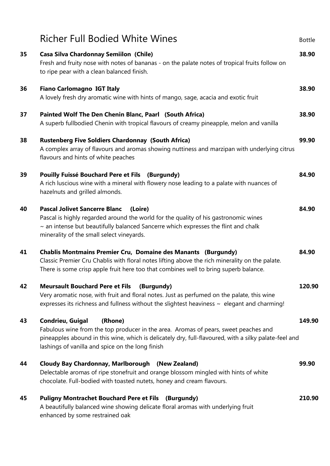|    | <b>Richer Full Bodied White Wines</b>                                                                                                                                                                                                                                           | <b>Bottle</b> |
|----|---------------------------------------------------------------------------------------------------------------------------------------------------------------------------------------------------------------------------------------------------------------------------------|---------------|
| 35 | <b>Casa Silva Chardonnay Semiilon (Chile)</b><br>Fresh and fruity nose with notes of bananas - on the palate notes of tropical fruits follow on<br>to ripe pear with a clean balanced finish.                                                                                   | 38.90         |
| 36 | <b>Fiano Carlomagno IGT Italy</b><br>A lovely fresh dry aromatic wine with hints of mango, sage, acacia and exotic fruit                                                                                                                                                        | 38.90         |
| 37 | Painted Wolf The Den Chenin Blanc, Paarl (South Africa)<br>A superb fullbodied Chenin with tropical flavours of creamy pineapple, melon and vanilla                                                                                                                             | 38.90         |
| 38 | <b>Rustenberg Five Soldiers Chardonnay (South Africa)</b><br>A complex array of flavours and aromas showing nuttiness and marzipan with underlying citrus<br>flavours and hints of white peaches                                                                                | 99.90         |
| 39 | Pouilly Fuissé Bouchard Pere et Fils (Burgundy)<br>A rich luscious wine with a mineral with flowery nose leading to a palate with nuances of<br>hazelnuts and grilled almonds.                                                                                                  | 84.90         |
| 40 | <b>Pascal Jolivet Sancerre Blanc</b><br>(Loire)<br>Pascal is highly regarded around the world for the quality of his gastronomic wines<br>$\sim$ an intense but beautifully balanced Sancerre which expresses the flint and chalk<br>minerality of the small select vineyards.  | 84.90         |
| 41 | <b>Chablis Montmains Premier Cru, Domaine des Manants (Burgundy)</b><br>Classic Premier Cru Chablis with floral notes lifting above the rich minerality on the palate.<br>There is some crisp apple fruit here too that combines well to bring superb balance.                  | 84.90         |
| 42 | <b>Meursault Bouchard Pere et Fils</b><br>(Burgundy)<br>Very aromatic nose, with fruit and floral notes. Just as perfumed on the palate, this wine<br>expresses its richness and fullness without the slightest heaviness $\sim$ elegant and charming!                          | 120.90        |
| 43 | Condrieu, Guigal<br>(Rhone)<br>Fabulous wine from the top producer in the area. Aromas of pears, sweet peaches and<br>pineapples abound in this wine, which is delicately dry, full-flavoured, with a silky palate-feel and<br>lashings of vanilla and spice on the long finish | 149.90        |
| 44 | Cloudy Bay Chardonnay, Marlborough (New Zealand)<br>Delectable aromas of ripe stonefruit and orange blossom mingled with hints of white<br>chocolate. Full-bodied with toasted nutets, honey and cream flavours.                                                                | 99.90         |
| 45 | <b>Puligny Montrachet Bouchard Pere et Fils (Burgundy)</b><br>A beautifully balanced wine showing delicate floral aromas with underlying fruit<br>enhanced by some restrained oak                                                                                               | 210.90        |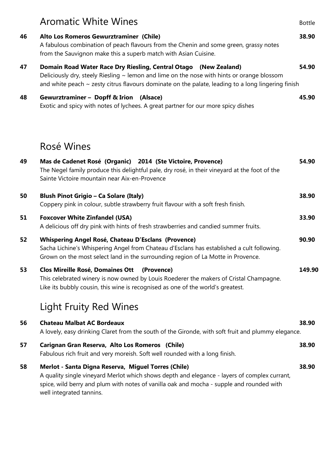|    | <b>Aromatic White Wines</b>                                                                                                                                                                                                                                                    | <b>Bottle</b> |
|----|--------------------------------------------------------------------------------------------------------------------------------------------------------------------------------------------------------------------------------------------------------------------------------|---------------|
| 46 | Alto Los Romeros Gewurztraminer (Chile)<br>A fabulous combination of peach flavours from the Chenin and some green, grassy notes<br>from the Sauvignon make this a superb match with Asian Cuisine.                                                                            | 38.90         |
| 47 | Domain Road Water Race Dry Riesling, Central Otago (New Zealand)<br>Deliciously dry, steely Riesling $\sim$ lemon and lime on the nose with hints or orange blossom<br>and white peach $\sim$ zesty citrus flavours dominate on the palate, leading to a long lingering finish | 54.90         |
| 48 | Gewurztraminer - Dopff & Irion (Alsace)<br>Exotic and spicy with notes of lychees. A great partner for our more spicy dishes                                                                                                                                                   | 45.90         |
|    | Rosé Wines                                                                                                                                                                                                                                                                     |               |
| 49 | Mas de Cadenet Rosé (Organic) 2014 (Ste Victoire, Provence)<br>The Negel family produce this delightful pale, dry rosé, in their vineyard at the foot of the<br>Sainte Victoire mountain near Aix-en-Provence                                                                  | 54.90         |
| 50 | <b>Blush Pinot Grigio - Ca Solare (Italy)</b><br>Coppery pink in colour, subtle strawberry fruit flavour with a soft fresh finish.                                                                                                                                             | 38.90         |
| 51 | <b>Foxcover White Zinfandel (USA)</b><br>A delicious off dry pink with hints of fresh strawberries and candied summer fruits.                                                                                                                                                  | 33.90         |
| 52 | Whispering Angel Rosé, Chateau D'Esclans (Provence)<br>Sacha Lichine's Whispering Angel from Chateau d'Esclans has established a cult following.<br>Grown on the most select land in the surrounding region of La Motte in Provence.                                           | 90.90         |
| 53 | Clos Mireille Rosé, Domaines Ott (Provence)<br>This celebrated winery is now owned by Louis Roederer the makers of Cristal Champagne.<br>Like its bubbly cousin, this wine is recognised as one of the world's greatest.                                                       | 149.90        |
|    | <b>Light Fruity Red Wines</b>                                                                                                                                                                                                                                                  |               |
| 56 | <b>Chateau Malbat AC Bordeaux</b><br>A lovely, easy drinking Claret from the south of the Gironde, with soft fruit and plummy elegance.                                                                                                                                        | 38.90         |
| 57 | Carignan Gran Reserva, Alto Los Romeros (Chile)<br>Fabulous rich fruit and very moreish. Soft well rounded with a long finish.                                                                                                                                                 | 38.90         |
| 58 | Merlot - Santa Digna Reserva, Miguel Torres (Chile)<br>A quality single vineyard Merlot which shows depth and elegance - layers of complex currant,<br>spice, wild berry and plum with notes of vanilla oak and mocha - supple and rounded with<br>well integrated tannins.    | 38.90         |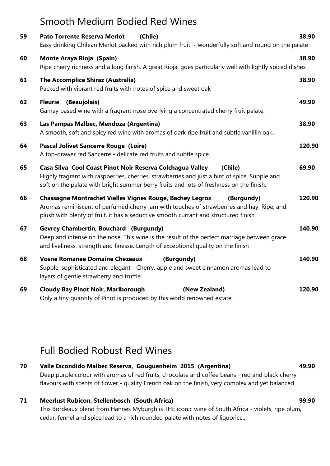## Smooth Medium Bodied Red Wines

| 59 | <b>Pato Torrente Reserva Merlot</b><br>(Chile)<br>Easy drinking Chilean Merlot packed with rich plum fruit ~ wonderfully soft and round on the palate                                                                                                             | 38.90  |
|----|-------------------------------------------------------------------------------------------------------------------------------------------------------------------------------------------------------------------------------------------------------------------|--------|
| 60 | <b>Monte Araya Rioja (Spain)</b><br>Ripe cherry richness and a long finish. A great Rioja, goes particularly well with lightly spiced dishes                                                                                                                      | 38.90  |
| 61 | <b>The Accomplice Shiraz (Australia)</b><br>Packed with vibrant red fruits with notes of spice and sweet oak                                                                                                                                                      | 38.90  |
| 62 | <b>Fleurie</b> (Beaujolais)<br>Gamay based wine with a fragrant nose overlying a concentrated cherry fruit palate.                                                                                                                                                | 49.90  |
| 63 | Las Pampas Malbec, Mendoza (Argentina)<br>A smooth, soft and spicy red wine with aromas of dark ripe fruit and subtle vanillin oak.                                                                                                                               | 38.90  |
| 64 | <b>Pascal Jolivet Sancerre Rouge (Loire)</b><br>A top-drawer red Sancerre - delicate red fruits and subtle spice.                                                                                                                                                 | 120.90 |
| 65 | Casa Silva Cool Coast Pinot Noir Reserva Colchagua Valley<br>(Chile)<br>Highly fragrant with raspberries, cherries, strawberries and just a hint of spice. Supple and<br>soft on the palate with bright summer berry fruits and lots of freshness on the finish.  | 69.90  |
| 66 | <b>Chassagne Montrachet Vielles Vignes Rouge, Bachey Legros</b><br>(Burgundy)<br>Aromas reminiscent of perfumed cherry jam with touches of strawberries and hay. Ripe, and<br>plush with plenty of fruit, it has a seductive smooth currant and structured finish | 120.90 |
| 67 | <b>Gevrey Chambertin, Bouchard (Burgundy)</b><br>Deep and intense on the nose. This wine is the result of the perfect marriage between grace<br>and liveliness, strength and finesse. Length of exceptional quality on the finish                                 | 140.90 |
| 68 | <b>Vosne Romanee Domaine Chezeaux</b><br>(Burgundy)<br>Supple, sophisticated and elegant - Cherry, apple and sweet cinnamon aromas lead to<br>layers of gentle strawberry and truffle.                                                                            | 140.90 |
| 69 | <b>Cloudy Bay Pinot Noir, Marlborough</b><br>(New Zealand)<br>Only a tiny quantity of Pinot is produced by this world renowned estate.                                                                                                                            | 120.90 |

### Full Bodied Robust Red Wines

#### 70 Valle Escondido Malbec Reserva, Gouguenheim 2015 (Argentina) 49.90 Deep purple colour with aromas of red fruits, chocolate and coffee beans - red and black cherry flavours with scents of flower - quality French oak on the finish, very complex and yet balanced

#### 71 Meerlust Rubicon, Stellenbosch (South Africa) 99.90

This Bordeaux blend from Hannes Myburgh is THE iconic wine of South Africa - violets, ripe plum, cedar, fennel and spice lead to a rich rounded palate with notes of liquorice..